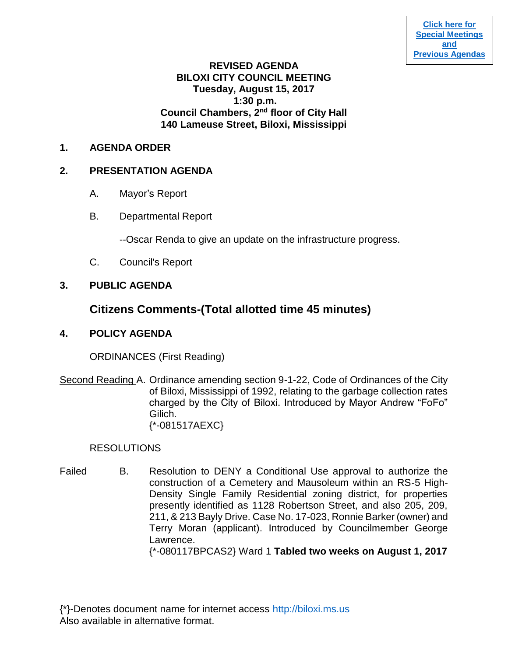# **REVISED AGENDA BILOXI CITY COUNCIL MEETING Tuesday, August 15, 2017 1:30 p.m. Council Chambers, 2nd floor of City Hall 140 Lameuse Street, Biloxi, Mississippi**

# **1. AGENDA ORDER**

# **2. PRESENTATION AGENDA**

- A. Mayor's Report
- B. Departmental Report

--Oscar Renda to give an update on the infrastructure progress.

C. Council's Report

# **3. PUBLIC AGENDA**

# **Citizens Comments-(Total allotted time 45 minutes)**

# **4. POLICY AGENDA**

ORDINANCES (First Reading)

Second Reading A. Ordinance amending section 9-1-22, Code of Ordinances of the City of Biloxi, Mississippi of 1992, relating to the garbage collection rates charged by the City of Biloxi. Introduced by Mayor Andrew "FoFo" Gilich. {\*-081517AEXC}

### RESOLUTIONS

Failed B. Resolution to DENY a Conditional Use approval to authorize the construction of a Cemetery and Mausoleum within an RS-5 High-Density Single Family Residential zoning district, for properties presently identified as 1128 Robertson Street, and also 205, 209, 211, & 213 Bayly Drive. Case No. 17-023, Ronnie Barker (owner) and Terry Moran (applicant). Introduced by Councilmember George Lawrence.

{\*-080117BPCAS2} Ward 1 **Tabled two weeks on August 1, 2017**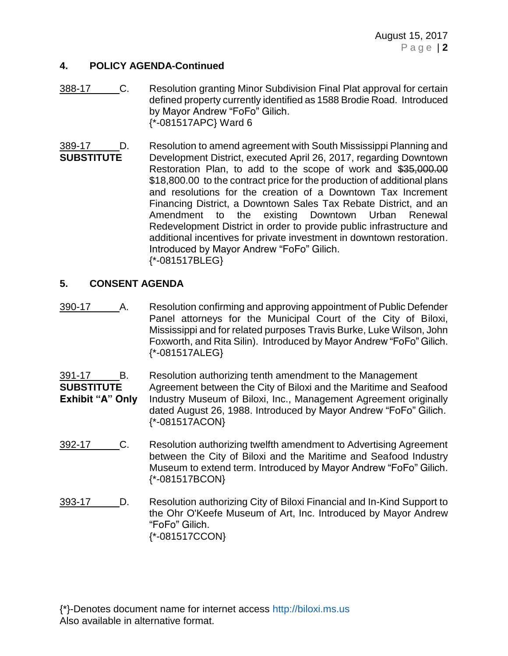# **4. POLICY AGENDA-Continued**

- 388-17 C. Resolution granting Minor Subdivision Final Plat approval for certain defined property currently identified as 1588 Brodie Road. Introduced by Mayor Andrew "FoFo" Gilich. {\*-081517APC} Ward 6
- 389-17 \_\_\_\_\_ D. Resolution to amend agreement with South Mississippi Planning and **SUBSTITUTE** Development District, executed April 26, 2017, regarding Downtown Restoration Plan, to add to the scope of work and \$35,000.00 \$18,800.00 to the contract price for the production of additional plans and resolutions for the creation of a Downtown Tax Increment Financing District, a Downtown Sales Tax Rebate District, and an Amendment to the existing Downtown Urban Renewal Redevelopment District in order to provide public infrastructure and additional incentives for private investment in downtown restoration. Introduced by Mayor Andrew "FoFo" Gilich. {\*-081517BLEG}

# **5. CONSENT AGENDA**

390-17 A. Resolution confirming and approving appointment of Public Defender Panel attorneys for the Municipal Court of the City of Biloxi, Mississippi and for related purposes Travis Burke, Luke Wilson, John Foxworth, and Rita Silin). Introduced by Mayor Andrew "FoFo" Gilich. {\*-081517ALEG}

- 391-17 B. Resolution authorizing tenth amendment to the Management **SUBSTITUTE** Agreement between the City of Biloxi and the Maritime and Seafood **Exhibit "A" Only** Industry Museum of Biloxi, Inc., Management Agreement originally dated August 26, 1988. Introduced by Mayor Andrew "FoFo" Gilich. {\*-081517ACON}
- 392-17 C. Resolution authorizing twelfth amendment to Advertising Agreement between the City of Biloxi and the Maritime and Seafood Industry Museum to extend term. Introduced by Mayor Andrew "FoFo" Gilich. {\*-081517BCON}
- 393-17 D. Resolution authorizing City of Biloxi Financial and In-Kind Support to the Ohr O'Keefe Museum of Art, Inc. Introduced by Mayor Andrew "FoFo" Gilich. {\*-081517CCON}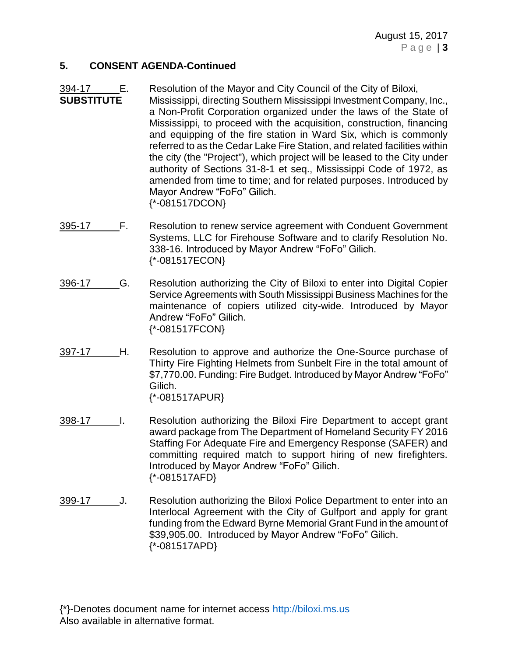#### **5. CONSENT AGENDA-Continued**

- 394-17 E. Resolution of the Mayor and City Council of the City of Biloxi, **SUBSTITUTE** Mississippi, directing Southern Mississippi Investment Company, Inc., a Non-Profit Corporation organized under the laws of the State of Mississippi, to proceed with the acquisition, construction, financing and equipping of the fire station in Ward Six, which is commonly referred to as the Cedar Lake Fire Station, and related facilities within the city (the "Project"), which project will be leased to the City under authority of Sections 31-8-1 et seq., Mississippi Code of 1972, as amended from time to time; and for related purposes. Introduced by Mayor Andrew "FoFo" Gilich. {\*-081517DCON}
- 395-17 F. Resolution to renew service agreement with Conduent Government Systems, LLC for Firehouse Software and to clarify Resolution No. 338-16. Introduced by Mayor Andrew "FoFo" Gilich. {\*-081517ECON}
- 396-17 G. Resolution authorizing the City of Biloxi to enter into Digital Copier Service Agreements with South Mississippi Business Machines for the maintenance of copiers utilized city-wide. Introduced by Mayor Andrew "FoFo" Gilich. {\*-081517FCON}
- 397-17 H. Resolution to approve and authorize the One-Source purchase of Thirty Fire Fighting Helmets from Sunbelt Fire in the total amount of \$7,770.00. Funding: Fire Budget. Introduced by Mayor Andrew "FoFo" Gilich. {\*-081517APUR}
- 398-17 I. Resolution authorizing the Biloxi Fire Department to accept grant award package from The Department of Homeland Security FY 2016 Staffing For Adequate Fire and Emergency Response (SAFER) and committing required match to support hiring of new firefighters. Introduced by Mayor Andrew "FoFo" Gilich. {\*-081517AFD}
- 399-17 J. Resolution authorizing the Biloxi Police Department to enter into an Interlocal Agreement with the City of Gulfport and apply for grant funding from the Edward Byrne Memorial Grant Fund in the amount of \$39,905.00. Introduced by Mayor Andrew "FoFo" Gilich. {\*-081517APD}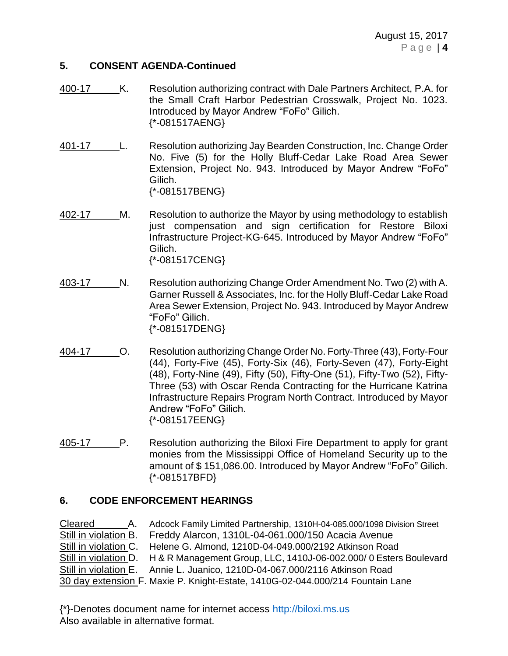### **5. CONSENT AGENDA-Continued**

- 400-17 K. Resolution authorizing contract with Dale Partners Architect, P.A. for the Small Craft Harbor Pedestrian Crosswalk, Project No. 1023. Introduced by Mayor Andrew "FoFo" Gilich. {\*-081517AENG}
- 401-17 L. Resolution authorizing Jay Bearden Construction, Inc. Change Order No. Five (5) for the Holly Bluff-Cedar Lake Road Area Sewer Extension, Project No. 943. Introduced by Mayor Andrew "FoFo" Gilich. {\*-081517BENG}
- 402-17 M. Resolution to authorize the Mayor by using methodology to establish just compensation and sign certification for Restore Biloxi Infrastructure Project-KG-645. Introduced by Mayor Andrew "FoFo" Gilich. {\*-081517CENG}
- 403-17 N. Resolution authorizing Change Order Amendment No. Two (2) with A. Garner Russell & Associates, Inc. for the Holly Bluff-Cedar Lake Road Area Sewer Extension, Project No. 943. Introduced by Mayor Andrew "FoFo" Gilich. {\*-081517DENG}
- 404-17 O. Resolution authorizing Change Order No. Forty-Three (43), Forty-Four (44), Forty-Five (45), Forty-Six (46), Forty-Seven (47), Forty-Eight (48), Forty-Nine (49), Fifty (50), Fifty-One (51), Fifty-Two (52), Fifty-Three (53) with Oscar Renda Contracting for the Hurricane Katrina Infrastructure Repairs Program North Contract. Introduced by Mayor Andrew "FoFo" Gilich. {\*-081517EENG}
- 405-17 P. Resolution authorizing the Biloxi Fire Department to apply for grant monies from the Mississippi Office of Homeland Security up to the amount of \$ 151,086.00. Introduced by Mayor Andrew "FoFo" Gilich. {\*-081517BFD}

### **6. CODE ENFORCEMENT HEARINGS**

Cleared A. Adcock Family Limited Partnership, 1310H-04-085.000/1098 Division Street Still in violation B. Freddy Alarcon, 1310L-04-061.000/150 Acacia Avenue Still in violation C. Helene G. Almond, 1210D-04-049.000/2192 Atkinson Road Still in violation D. H & R Management Group, LLC, 1410J-06-002.000/ 0 Esters Boulevard Still in violation E. Annie L. Juanico, 1210D-04-067.000/2116 Atkinson Road 30 day extension F. Maxie P. Knight-Estate, 1410G-02-044.000/214 Fountain Lane